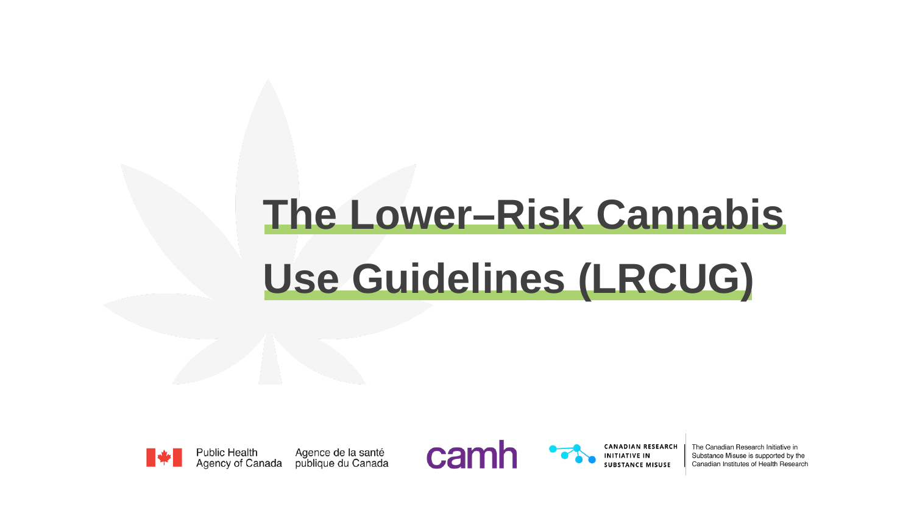# **The Lower–Risk Cannabis Use Guidelines (LRCUG)**



Agence de la santé<br>publique du Canada **Public Health** Agency of Canada

camh

**CANADIAN RESEARCH** INITIATIVE IN **SUBSTANCE MISUSE** 

The Canadian Research Initiative in Substance Misuse is supported by the Canadian Institutes of Health Research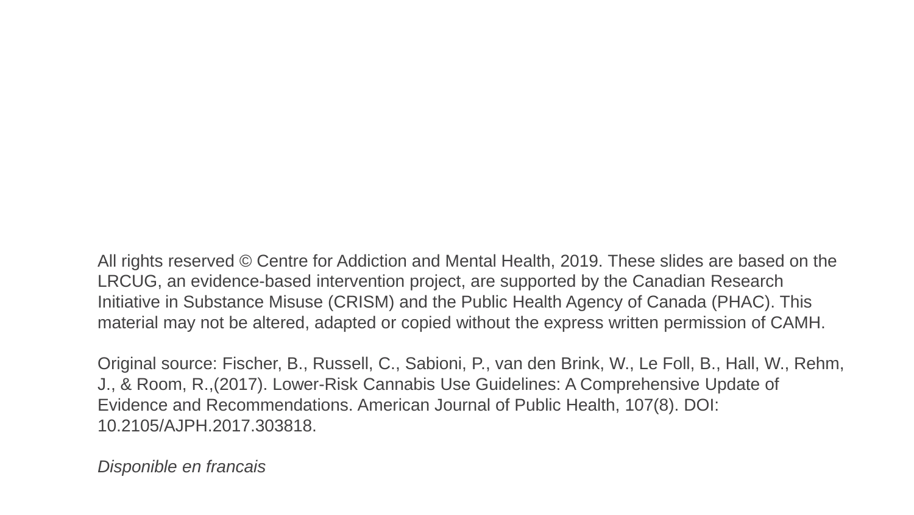All rights reserved © Centre for Addiction and Mental Health, 2019. These slides are based on the LRCUG, an evidence-based intervention project, are supported by the Canadian Research Initiative in Substance Misuse (CRISM) and the Public Health Agency of Canada (PHAC). This material may not be altered, adapted or copied without the express written permission of CAMH.

Original source: Fischer, B., Russell, C., Sabioni, P., van den Brink, W., Le Foll, B., Hall, W., Rehm, J., & Room, R.,(2017). Lower-Risk Cannabis Use Guidelines: A Comprehensive Update of Evidence and Recommendations. American Journal of Public Health, 107(8). DOI: 10.2105/AJPH.2017.303818.

*Disponible en francais*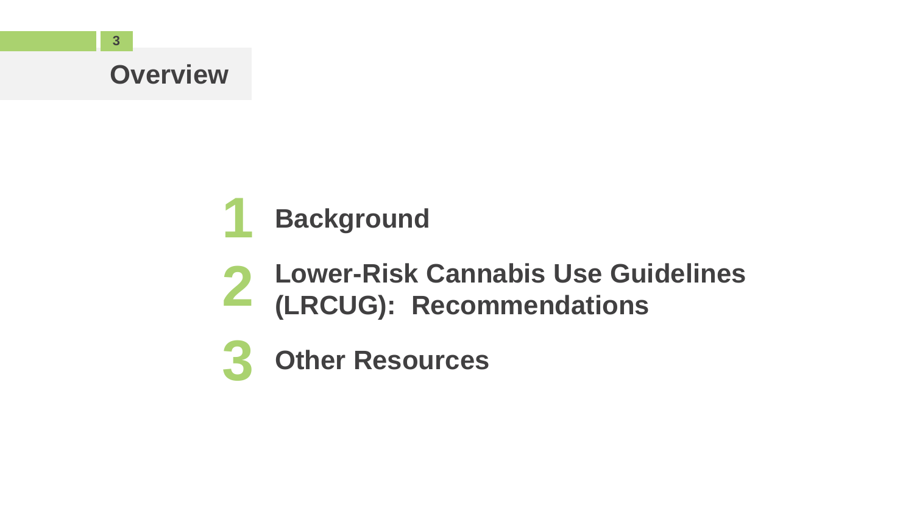#### **Overview**

#### **1 Background**

- **2 Lower-Risk Cannabis Use Guidelines (LRCUG): Recommendations**
- **3 Other Resources**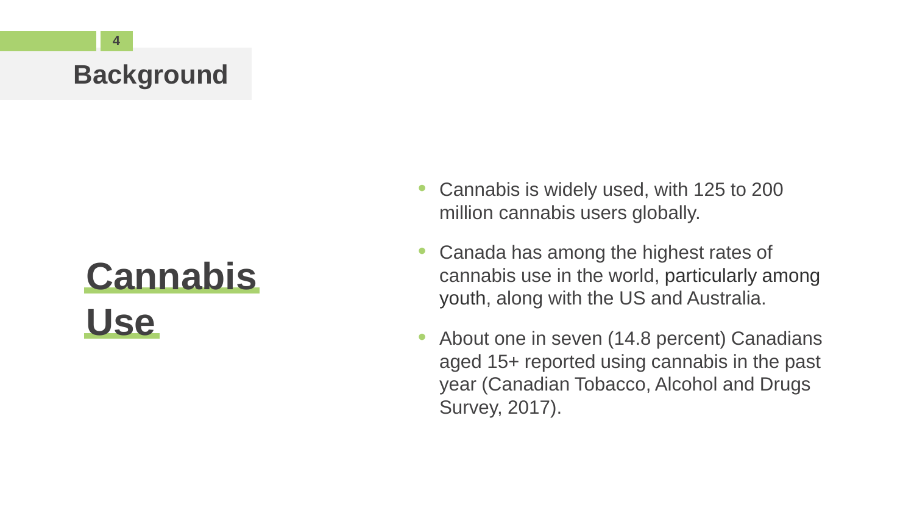# **Cannabis Use**

- Cannabis is widely used, with 125 to 200 million cannabis users globally.
- Canada has among the highest rates of cannabis use in the world, particularly among youth, along with the US and Australia.
- About one in seven (14.8 percent) Canadians aged 15+ reported using cannabis in the past year (Canadian Tobacco, Alcohol and Drugs Survey, 2017).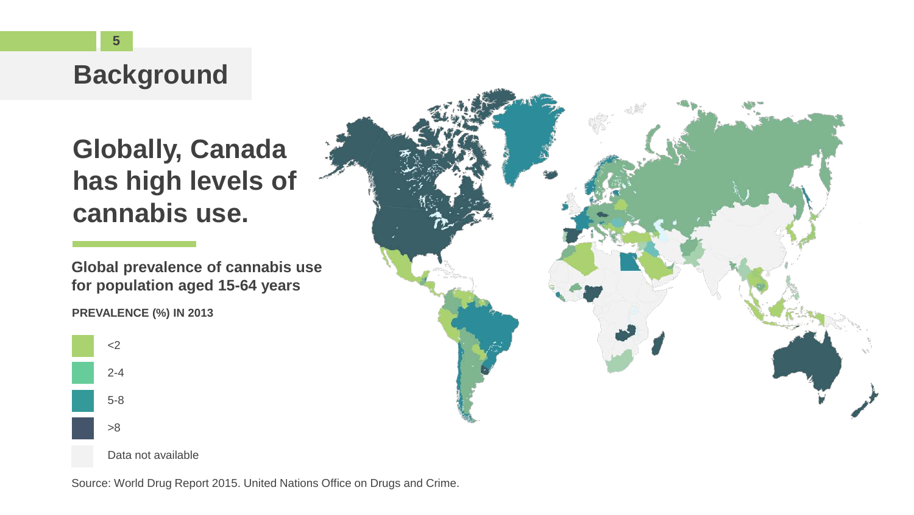### **Globally, Canada has high levels of cannabis use.**

**Global prevalence of cannabis use for population aged 15-64 years**







Source: World Drug Report 2015. United Nations Office on Drugs and Crime.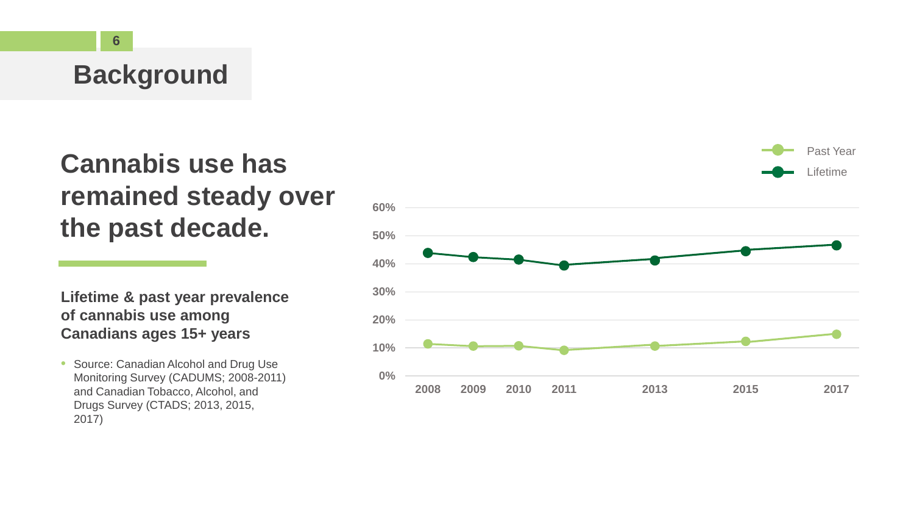# **remained steady over the past decade.**

**Lifetime & past year prevalence of cannabis use among Canadians ages 15+ years**

• Source: Canadian Alcohol and Drug Use Monitoring Survey (CADUMS; 2008-2011) and Canadian Tobacco, Alcohol, and Drugs Survey (CTADS; 2013, 2015, 2017)

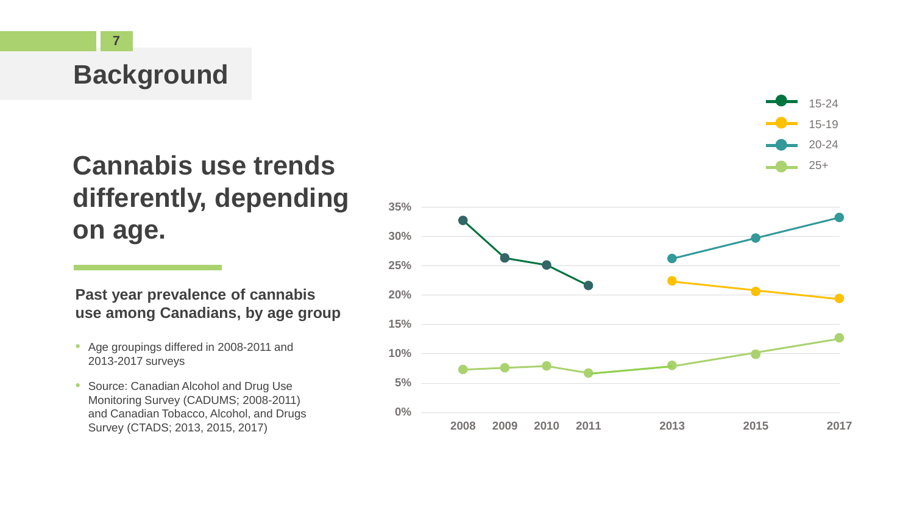#### **Cannabis use trends differently, depending on age.**

#### **Past year prevalence of cannabis use among Canadians, by age group**

- Age groupings differed in 2008-2011 and 2013-2017 surveys
- Source: Canadian Alcohol and Drug Use Monitoring Survey (CADUMS; 2008-2011) and Canadian Tobacco, Alcohol, and Drugs Survey (CTADS; 2013, 2015, 2017)

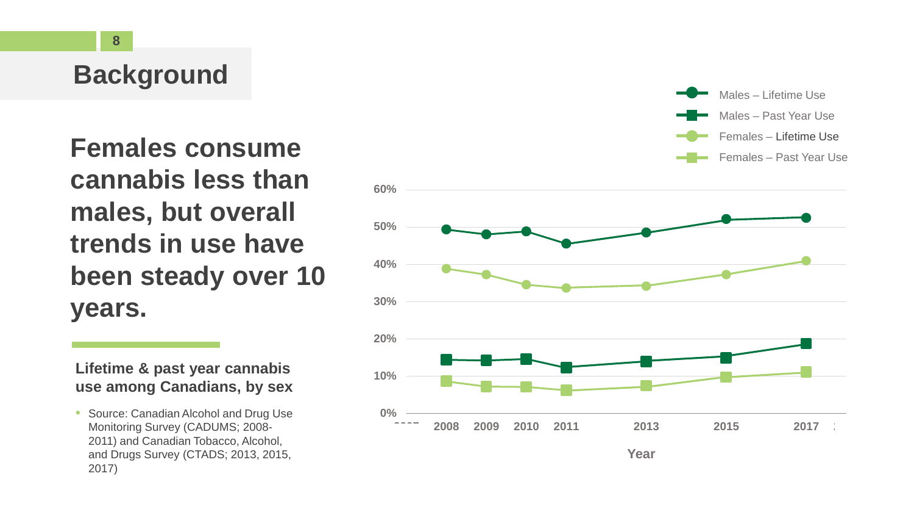**Females consume**<br> **Females – Lifetime Use**<br> **Females – Past Year Use cannabis less than males, but overall trends in use have been steady over 10 years.**

#### **Lifetime & past year cannabis use among Canadians, by sex**

• Source: Canadian Alcohol and Drug Use Monitoring Survey (CADUMS; 2008- 2011) and Canadian Tobacco, Alcohol, and Drugs Survey (CTADS; 2013, 2015, 2017)



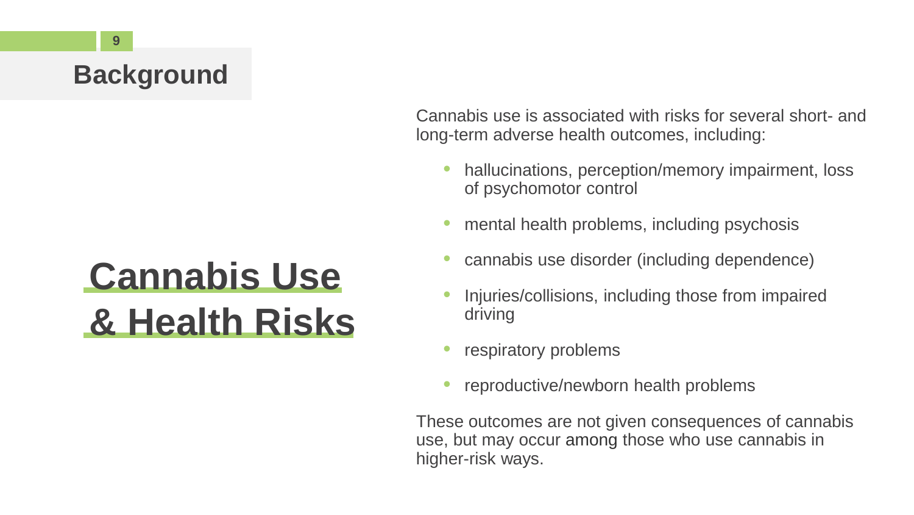# **Cannabis Use & Health Risks**

Cannabis use is associated with risks for several short- and long-term adverse health outcomes, including:

- hallucinations, perception/memory impairment, loss of psychomotor control
- mental health problems, including psychosis
- cannabis use disorder (including dependence)
- Injuries/collisions, including those from impaired driving
- respiratory problems
- reproductive/newborn health problems

These outcomes are not given consequences of cannabis use, but may occur among those who use cannabis in higher-risk ways.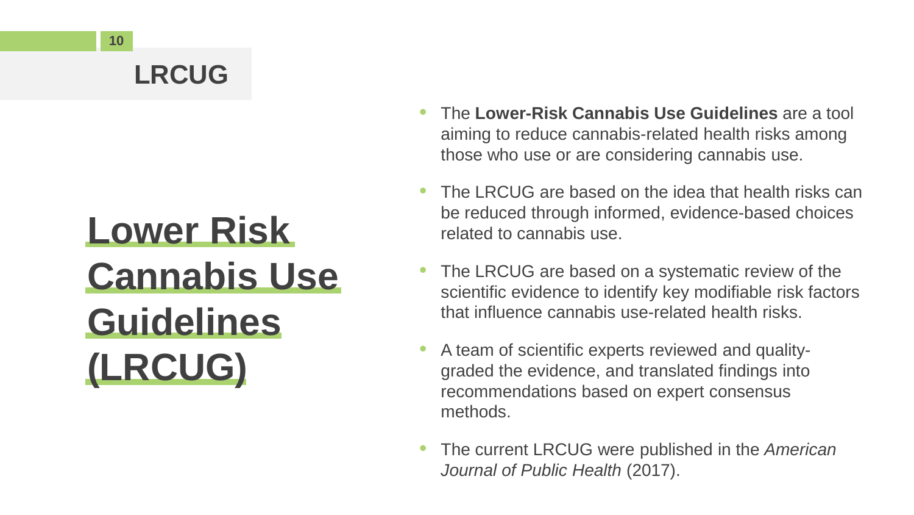# **Lower Risk Cannabis Use Guidelines (LRCUG)**

- The **Lower-Risk Cannabis Use Guidelines** are a tool aiming to reduce cannabis-related health risks among those who use or are considering cannabis use.
- The LRCUG are based on the idea that health risks can be reduced through informed, evidence-based choices related to cannabis use.
- The LRCUG are based on a systematic review of the scientific evidence to identify key modifiable risk factors that influence cannabis use-related health risks.
- A team of scientific experts reviewed and qualitygraded the evidence, and translated findings into recommendations based on expert consensus methods.
- The current LRCUG were published in the *American Journal of Public Health* (2017).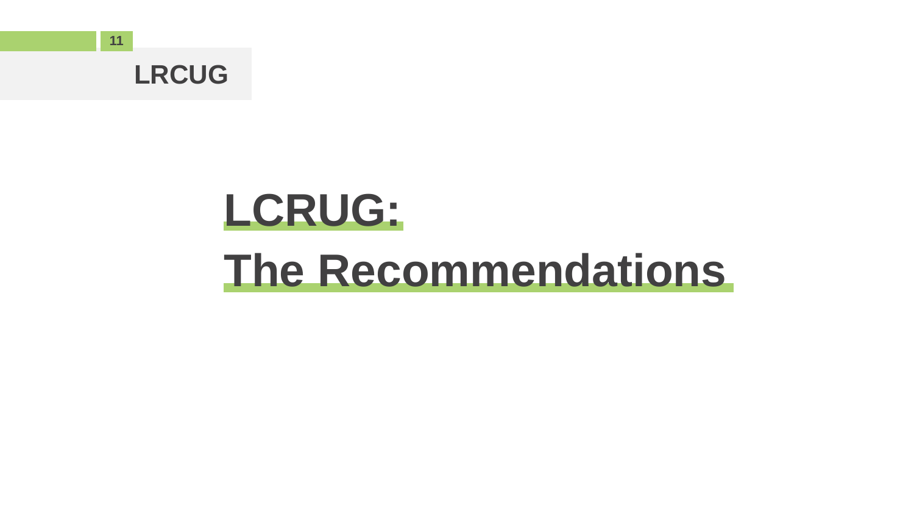

# **LCRUG: The Recommendations**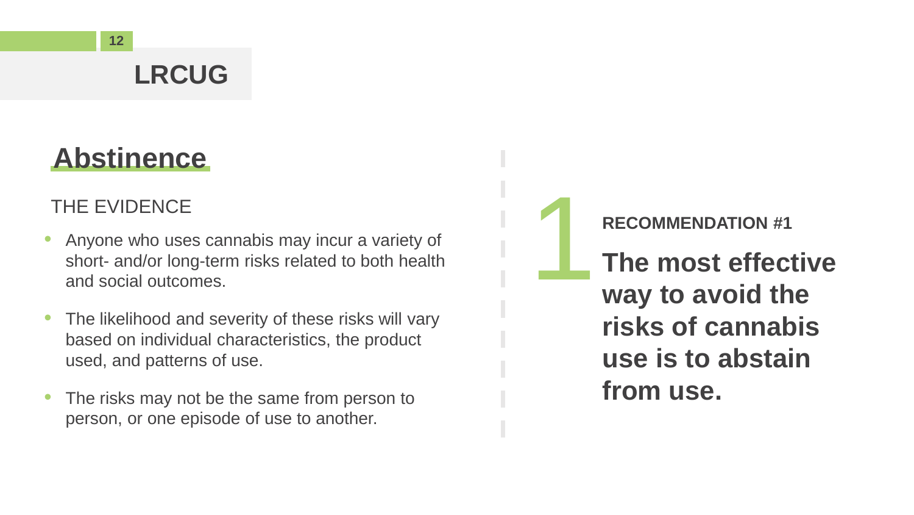### **Abstinence**

- Anyone who uses cannabis may incur a variety of short- and/or long-term risks related to both health and social outcomes. THE EVIDENCE<br>
Anyone who uses cannabis may incur a variety of<br>
short- and/or long-term risks related to both health<br>
and social outcomes.<br>
Way to avoid th
- The likelihood and severity of these risks will vary based on individual characteristics, the product used, and patterns of use.
- The risks may not be the same from person to person, or one episode of use to another.

**The most effective way to avoid the risks of cannabis use is to abstain from use.**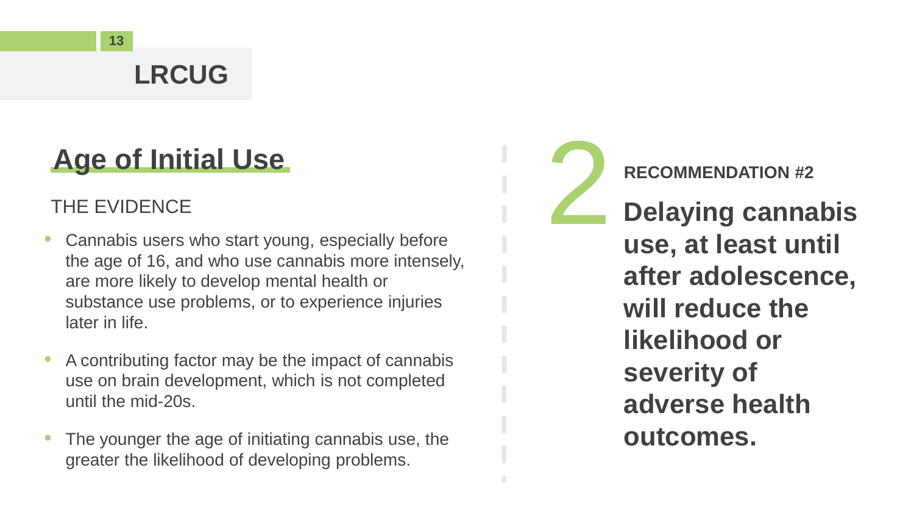### **Age of Initial Use**

- Cannabis users who start young, especially before the age of 16, and who use cannabis more intensely, are more likely to develop mental health or substance use problems, or to experience injuries later in life.
- A contributing factor may be the impact of cannabis use on brain development, which is not completed until the mid-20s.
- The younger the age of initiating cannabis use, the greater the likelihood of developing problems.

**Age of Initial Use**<br>THE EVIDENCE<br>Cannabis users who start young, especially before<br>**2 <b>Delaying canna**<br>**2 Delaying canna**<br>**2 Delaying canna Delaying cannabis use, at least until after adolescence, will reduce the likelihood or severity of adverse health outcomes.**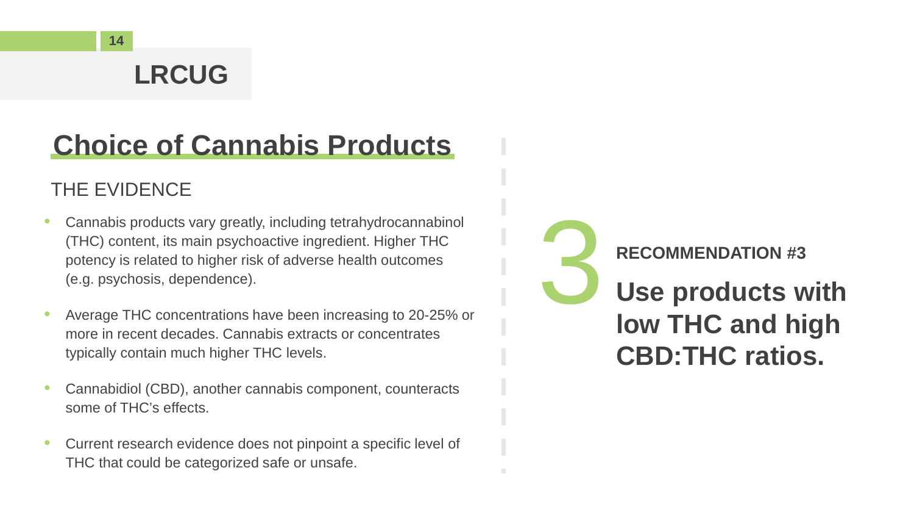### **Choice of Cannabis Products**

#### THE EVIDENCE

- Cannabis products vary greatly, including tetrahydrocannabinol (THC) content, its main psychoactive ingredient. Higher THC potency is related to higher risk of adverse health outcomes (e.g. psychosis, dependence).
- Average THC concentrations have been increasing to 20-25% or more in recent decades. Cannabis extracts or concentrates typically contain much higher THC levels.
- Cannabidiol (CBD), another cannabis component, counteracts some of THC's effects.
- Current research evidence does not pinpoint a specific level of THC that could be categorized safe or unsafe.

RECOMMENDATION #3<br>Use products w<br>Iow THC and hi **Use products with low THC and high CBD:THC ratios.**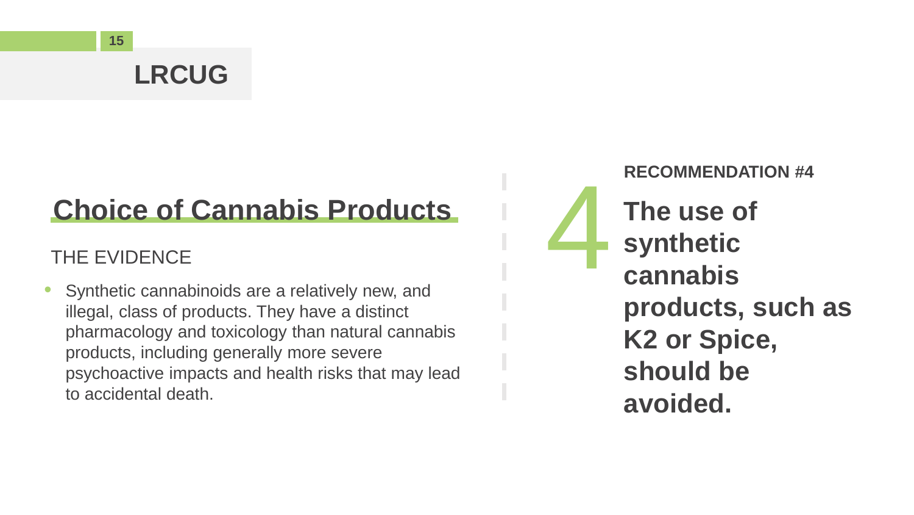# **Choice of Cannabis Products** Choice of Cannabis Products<br>THE EVIDENCE<br>Synthetic cannabinoids are a relatively new, and

• Synthetic cannabinoids are a relatively new, and illegal, class of products. They have a distinct pharmacology and toxicology than natural cannabis products, including generally more severe psychoactive impacts and health risks that may lead to accidental death.

**RECOMMENDATION #4 The use of synthetic cannabis products, such as K2 or Spice, should be avoided.**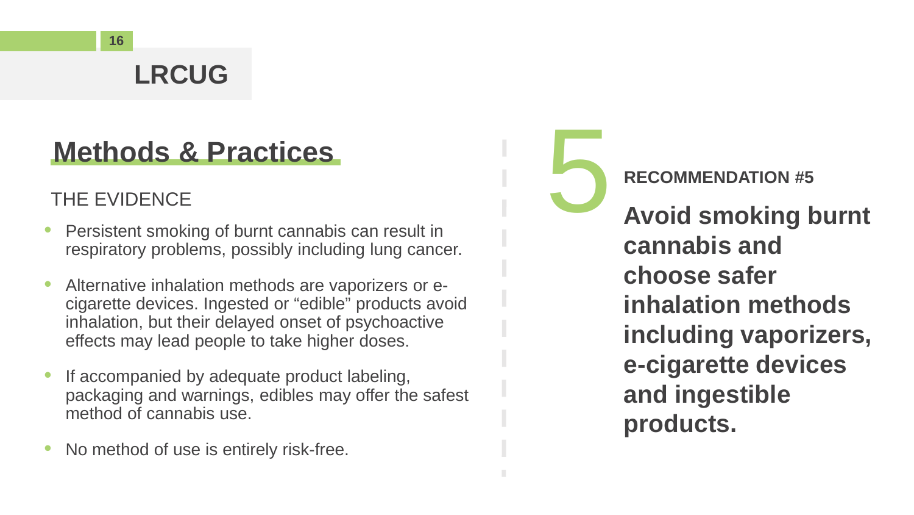#### **Methods & Practices**

- Persistent smoking of burnt cannabis can result in respiratory problems, possibly including lung cancer.
- Alternative inhalation methods are vaporizers or ecigarette devices. Ingested or "edible" products avoid inhalation, but their delayed onset of psychoactive effects may lead people to take higher doses.
- If accompanied by adequate product labeling, packaging and warnings, edibles may offer the safest method of cannabis use.
- No method of use is entirely risk-free.

**Methods & Practices**<br>THE EVIDENCE<br>Persistent smoking of burnt cannabis can result in<br>Avoid smoking the served is expected as **Avoid smoking burnt cannabis and choose safer inhalation methods including vaporizers, e-cigarette devices and ingestible products.**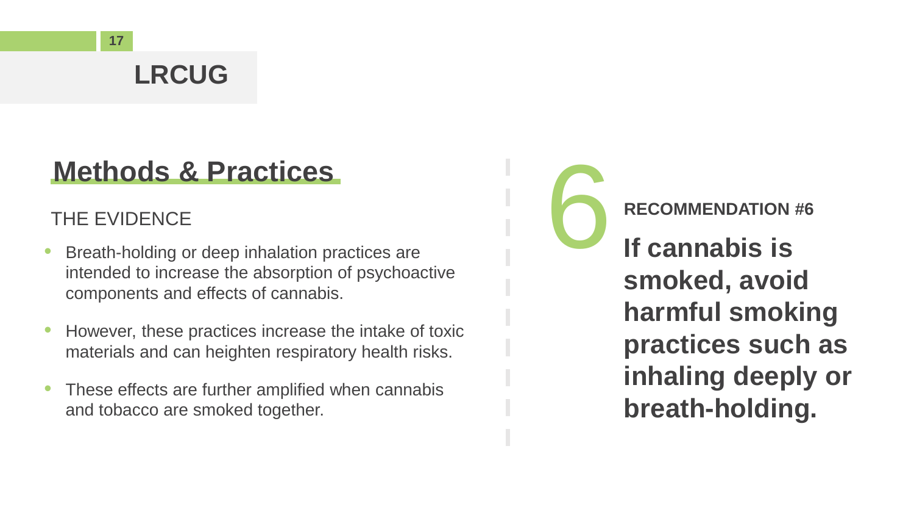#### **Methods & Practices**

- Breath-holding or deep inhalation practices are intended to increase the absorption of psychoactive components and effects of cannabis.
- However, these practices increase the intake of toxic materials and can heighten respiratory health risks.
- These effects are further amplified when cannabis and tobacco are smoked together.

**Methods & Practices**<br>THE EVIDENCE<br>Breath-holding or deep inhalation practices are<br>intended to increase the absorption of psychoactive<br>**Examples is If cannabis is smoked, avoid harmful smoking practices such as inhaling deeply or breath-holding.**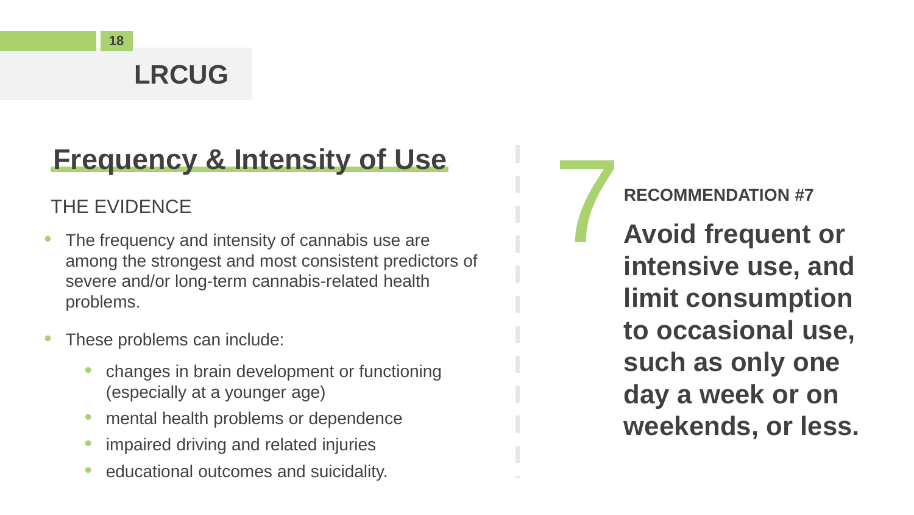### **Frequency & Intensity of Use**

- The frequency and intensity of cannabis use are among the strongest and most consistent predictors of severe and/or long-term cannabis-related health problems.
- These problems can include:
	- changes in brain development or functioning (especially at a younger age)
	- mental health problems or dependence
	- impaired driving and related injuries
	- educational outcomes and suicidality.

**Frequency & Intensity of Use**<br>THE EVIDENCE<br>The frequency and intensity of cannabis use are<br>among the strongest and most consistent predictors of **the property of the strong and the strong strong strong for the strong stro Avoid frequent or intensive use, and limit consumption to occasional use, such as only one day a week or on weekends, or less.**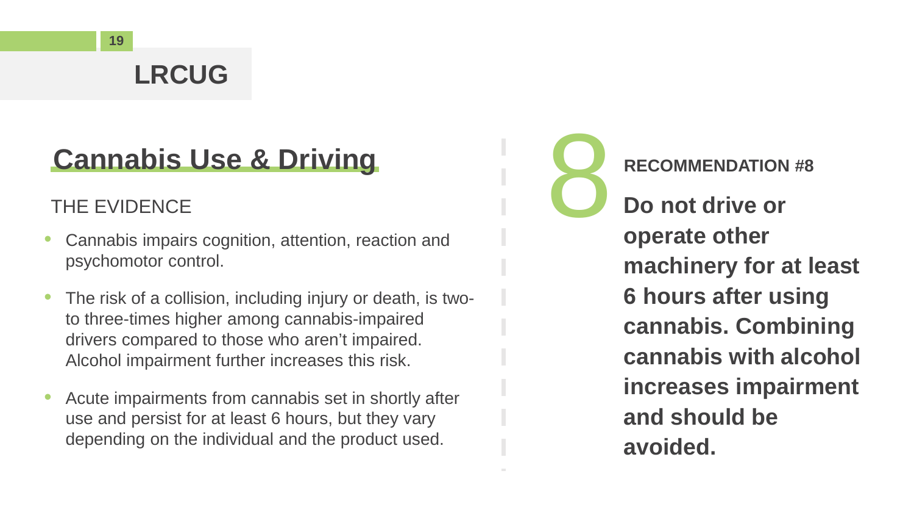### **Cannabis Use & Driving**

- Cannabis impairs cognition, attention, reaction and psychomotor control.
- The risk of a collision, including injury or death, is twoto three-times higher among cannabis-impaired drivers compared to those who aren't impaired. Alcohol impairment further increases this risk.
- Acute impairments from cannabis set in shortly after use and persist for at least 6 hours, but they vary depending on the individual and the product used.

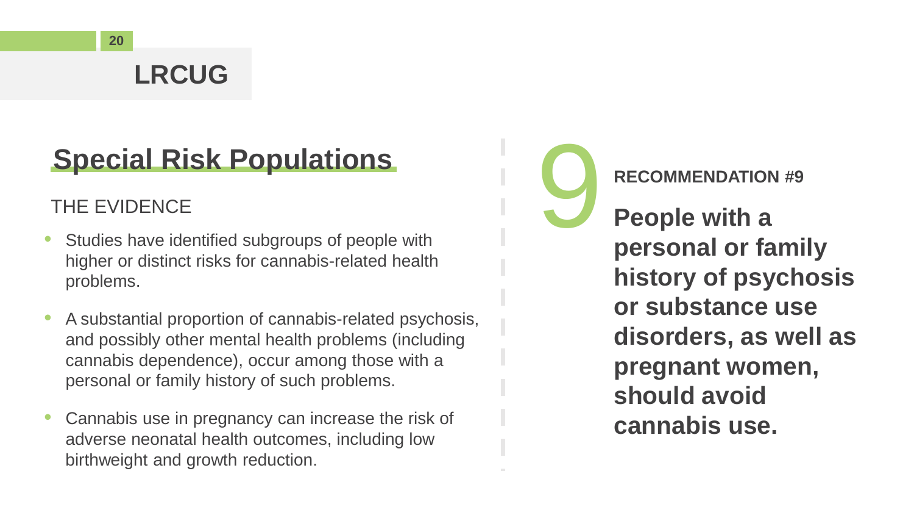# **Special Risk Populations**

- Studies have identified subgroups of people with higher or distinct risks for cannabis-related health problems.
- A substantial proportion of cannabis-related psychosis, and possibly other mental health problems (including cannabis dependence), occur among those with a personal or family history of such problems.
- Cannabis use in pregnancy can increase the risk of adverse neonatal health outcomes, including low birthweight and growth reduction.

**Special Risk Populations**<br>THE EVIDENCE<br>Studies have identified subgroups of people with<br>**People with a**<br>**People with a**<br>**People with a People with a personal or family history of psychosis or substance use disorders, as well as pregnant women, should avoid cannabis use.**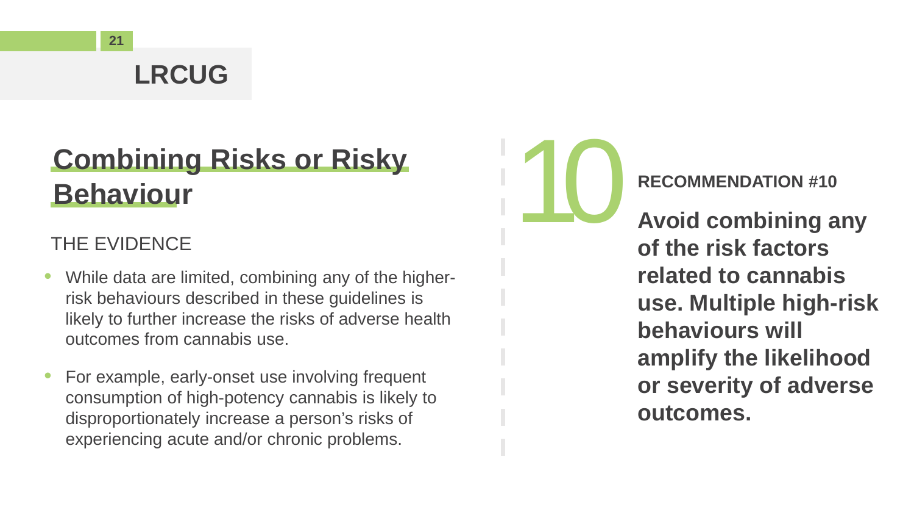# **Combining Risks or Risky Behaviour**

#### THE EVIDENCE

- While data are limited, combining any of the higherrisk behaviours described in these guidelines is likely to further increase the risks of adverse health outcomes from cannabis use.
- For example, early-onset use involving frequent consumption of high-potency cannabis is likely to disproportionately increase a person's risks of experiencing acute and/or chronic problems.



**Avoid combining any of the risk factors related to cannabis use. Multiple high-risk behaviours will amplify the likelihood or severity of adverse outcomes.**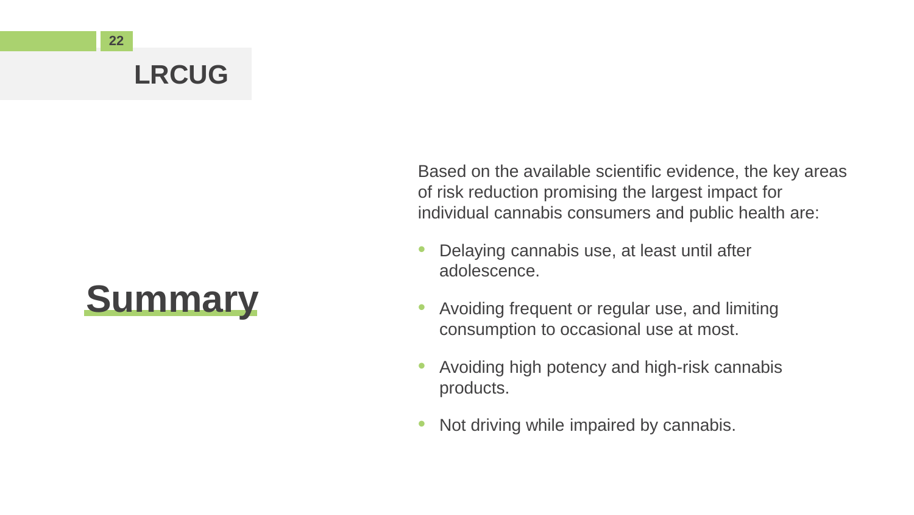

Based on the available scientific evidence, the key areas of risk reduction promising the largest impact for individual cannabis consumers and public health are:

- Delaying cannabis use, at least until after adolescence.
- Avoiding frequent or regular use, and limiting consumption to occasional use at most.
- Avoiding high potency and high-risk cannabis products.
- Not driving while impaired by cannabis.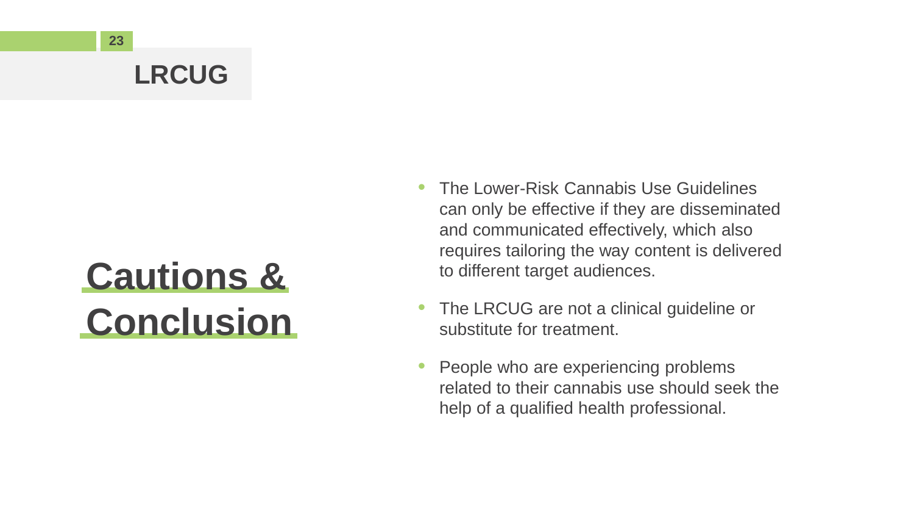# **Cautions & Conclusion**

- The Lower-Risk Cannabis Use Guidelines can only be effective if they are disseminated and communicated effectively, which also requires tailoring the way content is delivered to different target audiences.
- The LRCUG are not a clinical guideline or substitute for treatment.
- People who are experiencing problems related to their cannabis use should seek the help of a qualified health professional.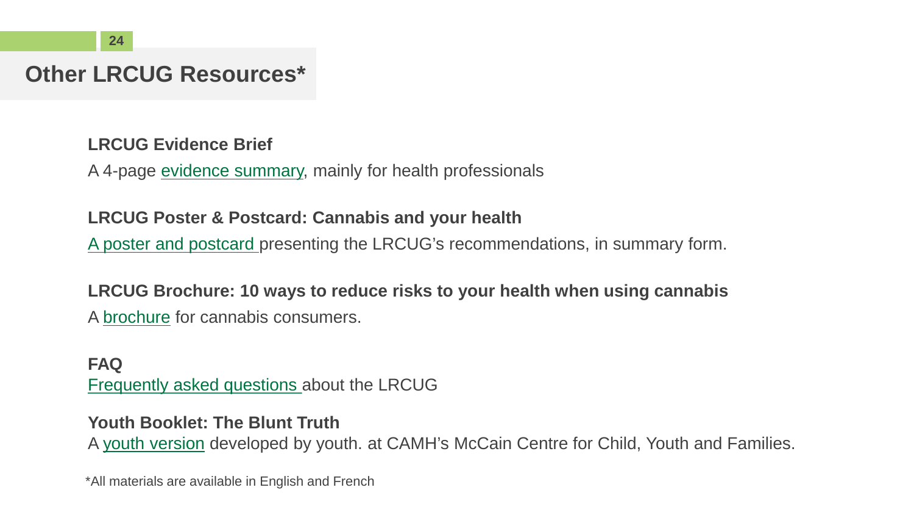#### **Other LRCUG Resources\***

**LRCUG Evidence Brief** 

A 4-page [evidence summary,](http://www.camh.ca/-/media/files/pdfs---reports-and-books---research/canadas-lower-risk-guidelines-evidence-brief-2019.pdf) mainly for health professionals

#### **LRCUG Poster & Postcard: Cannabis and your health**

[A poster and postcard](https://www.canada.ca/en/public-health/services/publications/drugs-health-products/cannabis-10-ways-reduce-risks.html) presenting the LRCUG's recommendations, in summary form.

#### **LRCUG Brochure: 10 ways to reduce risks to your health when using cannabis**

A [brochure](https://www.camh.ca/-/media/files/pdfs---reports-and-books---research/canadas-lower-risk-guidelines-cannabis-pdf.pdf) for cannabis consumers.

#### **FAQ** [Frequently asked questions](http://www.camh.ca/-/media/files/pdfs---reports-and-books---research/Canadas-lower-risk-guidelines-cannabis-FAQs) about the LRCUG

#### **Youth Booklet: The Blunt Truth**

A [youth version](https://www.camh.ca/en/health-info/guides-and-publications/lrcug-for-youth) developed by youth. at CAMH's McCain Centre for Child, Youth and Families.

\*All materials are available in English and French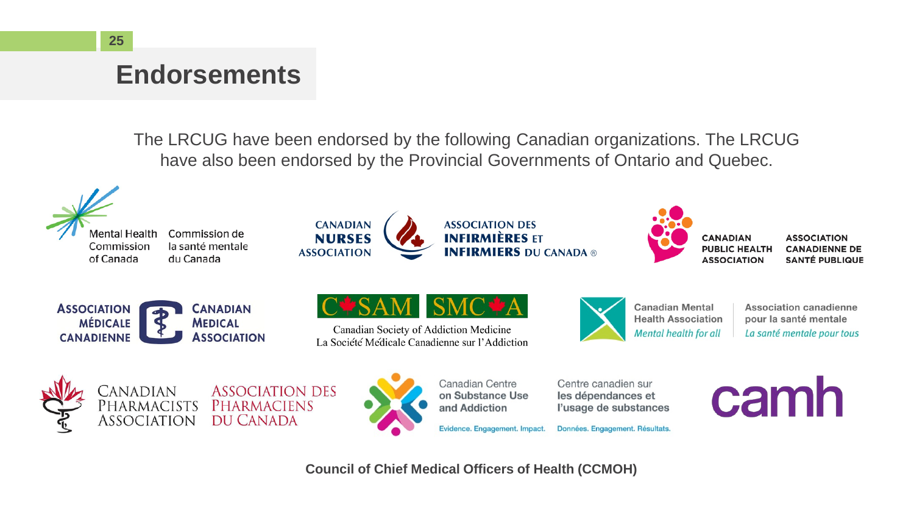**ASSOCIATION** 

#### **Endorsements**

The LRCUG have been endorsed by the following Canadian organizations. The LRCUG have also been endorsed by the Provincial Governments of Ontario and Quebec.



**Council of Chief Medical Officers of Health (CCMOH)**

Evidence. Engagement. Impact.

Données. Engagement. Résultats.